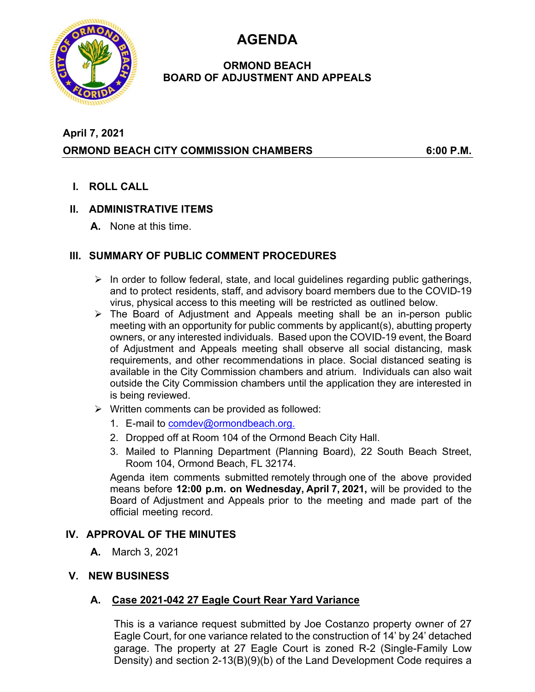**AGENDA** 



### **ORMOND BEACH BOARD OF ADJUSTMENT AND APPEALS**

# **April 7, 2021 ORMOND BEACH CITY COMMISSION CHAMBERS 6:00 P.M.**

**I. ROLL CALL** 

## **II. ADMINISTRATIVE ITEMS**

**A.** None at this time.

## **III. SUMMARY OF PUBLIC COMMENT PROCEDURES**

- $\triangleright$  In order to follow federal, state, and local guidelines regarding public gatherings, and to protect residents, staff, and advisory board members due to the COVID-19 virus, physical access to this meeting will be restricted as outlined below.
- $\triangleright$  The Board of Adjustment and Appeals meeting shall be an in-person public meeting with an opportunity for public comments by applicant(s), abutting property owners, or any interested individuals. Based upon the COVID-19 event, the Board of Adjustment and Appeals meeting shall observe all social distancing, mask requirements, and other recommendations in place. Social distanced seating is available in the City Commission chambers and atrium. Individuals can also wait outside the City Commission chambers until the application they are interested in is being reviewed.
- $\triangleright$  Written comments can be provided as followed:
	- 1. E-mail to comdev@ormondbeach.org.
	- 2. Dropped off at Room 104 of the Ormond Beach City Hall.
	- 3. Mailed to Planning Department (Planning Board), 22 South Beach Street, Room 104, Ormond Beach, FL 32174.

Agenda item comments submitted remotely through one of the above provided means before **12:00 p.m. on Wednesday, April 7, 2021,** will be provided to the Board of Adjustment and Appeals prior to the meeting and made part of the official meeting record.

### **IV. APPROVAL OF THE MINUTES**

- **A.** March 3, 2021
- **V. NEW BUSINESS**

## **A. Case 2021-042 27 Eagle Court Rear Yard Variance**

This is a variance request submitted by Joe Costanzo property owner of 27 Eagle Court, for one variance related to the construction of 14' by 24' detached garage. The property at 27 Eagle Court is zoned R-2 (Single-Family Low Density) and section 2-13(B)(9)(b) of the Land Development Code requires a